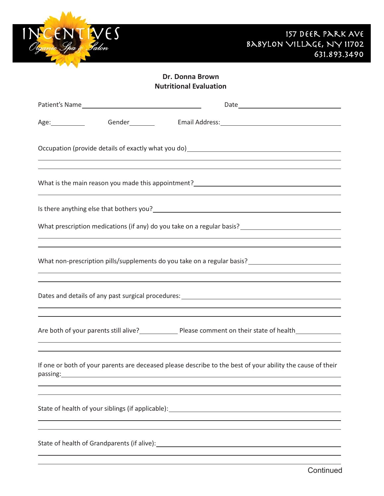

| Gender_________<br>Age:                                                                                                                                                                                                                | Email Address: Universe Press and Address and Address and Address and Address and Address and Address and Address and Address and Address and Address and Address and Address and Address and Address and Address and Address |
|----------------------------------------------------------------------------------------------------------------------------------------------------------------------------------------------------------------------------------------|-------------------------------------------------------------------------------------------------------------------------------------------------------------------------------------------------------------------------------|
| Occupation (provide details of exactly what you do) [14] The matter of the control of the control of the control of                                                                                                                    |                                                                                                                                                                                                                               |
| What is the main reason you made this appointment?<br><u> </u>                                                                                                                                                                         |                                                                                                                                                                                                                               |
| Is there anything else that bothers you?<br><u> and the contract of the contract of the contract of the contract of the contract of the contract of the contract of the contract of the contract of the contract of the contract o</u> |                                                                                                                                                                                                                               |
| <u> 1989 - Johann Harry Harry Harry Harry Harry Harry Harry Harry Harry Harry Harry Harry Harry Harry Harry Harry</u>                                                                                                                  |                                                                                                                                                                                                                               |
| ,我们也不会有什么。""我们的人,我们也不会有什么?""我们的人,我们也不会有什么?""我们的人,我们也不会有什么?""我们的人,我们也不会有什么?""我们的人                                                                                                                                                       |                                                                                                                                                                                                                               |
| ,我们也不会有什么。""我们的人,我们也不会有什么?""我们的人,我们也不会有什么?""我们的人,我们也不会有什么?""我们的人,我们也不会有什么?""我们的人<br>,我们也不会有什么。""我们的人,我们也不会有什么?""我们的人,我们也不会有什么?""我们的人,我们也不会有什么?""我们的人,我们也不会有什么?""我们的人                                                                   |                                                                                                                                                                                                                               |
| ,我们也不会有什么。""我们的人,我们也不会有什么?""我们的人,我们也不会有什么?""我们的人,我们也不会有什么?""我们的人,我们也不会有什么?""我们的人                                                                                                                                                       | ,我们也不会有什么。""我们的人,我们也不会有什么?""我们的人,我们也不会有什么?""我们的人,我们也不会有什么?""我们的人,我们也不会有什么?""我们的人                                                                                                                                              |
| If one or both of your parents are deceased please describe to the best of your ability the cause of their<br>passing: https://www.archive.com/communications/communications/communications/communications/communications/com          | ,我们也不会有什么。""我们的人,我们也不会有什么?""我们的人,我们也不会有什么?""我们的人,我们也不会有什么?""我们的人,我们也不会有什么?""我们的人                                                                                                                                              |
|                                                                                                                                                                                                                                        |                                                                                                                                                                                                                               |
| State of health of Grandparents (if alive):                                                                                                                                                                                            |                                                                                                                                                                                                                               |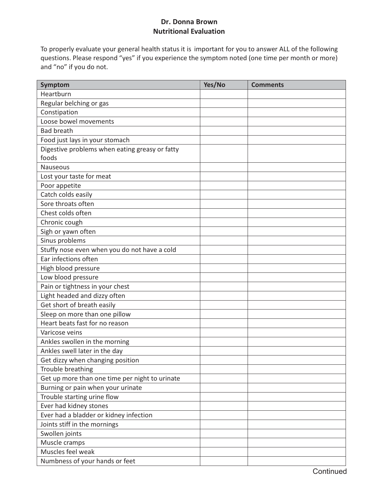To properly evaluate your general health status it is important for you to answer ALL of the following questions. Please respond "yes" if you experience the symptom noted (one time per month or more) and "no" if you do not.

| Symptom                                        | Yes/No | <b>Comments</b> |
|------------------------------------------------|--------|-----------------|
| Heartburn                                      |        |                 |
| Regular belching or gas                        |        |                 |
| Constipation                                   |        |                 |
| Loose bowel movements                          |        |                 |
| <b>Bad breath</b>                              |        |                 |
| Food just lays in your stomach                 |        |                 |
| Digestive problems when eating greasy or fatty |        |                 |
| foods                                          |        |                 |
| <b>Nauseous</b>                                |        |                 |
| Lost your taste for meat                       |        |                 |
| Poor appetite                                  |        |                 |
| Catch colds easily                             |        |                 |
| Sore throats often                             |        |                 |
| Chest colds often                              |        |                 |
| Chronic cough                                  |        |                 |
| Sigh or yawn often                             |        |                 |
| Sinus problems                                 |        |                 |
| Stuffy nose even when you do not have a cold   |        |                 |
| Ear infections often                           |        |                 |
| High blood pressure                            |        |                 |
| Low blood pressure                             |        |                 |
| Pain or tightness in your chest                |        |                 |
| Light headed and dizzy often                   |        |                 |
| Get short of breath easily                     |        |                 |
| Sleep on more than one pillow                  |        |                 |
| Heart beats fast for no reason                 |        |                 |
| Varicose veins                                 |        |                 |
| Ankles swollen in the morning                  |        |                 |
| Ankles swell later in the day                  |        |                 |
| Get dizzy when changing position               |        |                 |
| Trouble breathing                              |        |                 |
| Get up more than one time per night to urinate |        |                 |
| Burning or pain when your urinate              |        |                 |
| Trouble starting urine flow                    |        |                 |
| Ever had kidney stones                         |        |                 |
| Ever had a bladder or kidney infection         |        |                 |
| Joints stiff in the mornings                   |        |                 |
| Swollen joints                                 |        |                 |
| Muscle cramps                                  |        |                 |
| Muscles feel weak                              |        |                 |
| Numbness of your hands or feet                 |        |                 |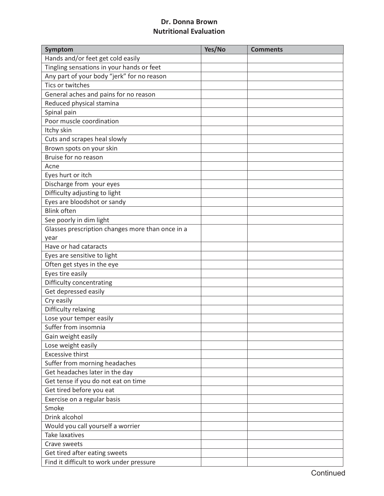| Hands and/or feet get cold easily<br>Tingling sensations in your hands or feet<br>Any part of your body "jerk" for no reason<br>Tics or twitches<br>General aches and pains for no reason<br>Reduced physical stamina<br>Spinal pain<br>Poor muscle coordination<br>Itchy skin<br>Cuts and scrapes heal slowly<br>Brown spots on your skin<br>Bruise for no reason<br>Acne<br>Eyes hurt or itch<br>Discharge from your eyes<br>Difficulty adjusting to light<br>Eyes are bloodshot or sandy<br><b>Blink often</b><br>See poorly in dim light<br>Glasses prescription changes more than once in a<br>year<br>Have or had cataracts<br>Eyes are sensitive to light<br>Often get styes in the eye<br>Eyes tire easily<br>Difficulty concentrating<br>Get depressed easily<br>Cry easily<br>Difficulty relaxing<br>Lose your temper easily<br>Suffer from insomnia<br>Gain weight easily<br>Lose weight easily<br><b>Excessive thirst</b><br>Suffer from morning headaches<br>Get headaches later in the day<br>Get tense if you do not eat on time<br>Get tired before you eat<br>Exercise on a regular basis<br>Smoke<br>Drink alcohol<br>Would you call yourself a worrier<br><b>Take laxatives</b><br>Crave sweets | Symptom | Yes/No | <b>Comments</b> |
|--------------------------------------------------------------------------------------------------------------------------------------------------------------------------------------------------------------------------------------------------------------------------------------------------------------------------------------------------------------------------------------------------------------------------------------------------------------------------------------------------------------------------------------------------------------------------------------------------------------------------------------------------------------------------------------------------------------------------------------------------------------------------------------------------------------------------------------------------------------------------------------------------------------------------------------------------------------------------------------------------------------------------------------------------------------------------------------------------------------------------------------------------------------------------------------------------------------------|---------|--------|-----------------|
|                                                                                                                                                                                                                                                                                                                                                                                                                                                                                                                                                                                                                                                                                                                                                                                                                                                                                                                                                                                                                                                                                                                                                                                                                    |         |        |                 |
|                                                                                                                                                                                                                                                                                                                                                                                                                                                                                                                                                                                                                                                                                                                                                                                                                                                                                                                                                                                                                                                                                                                                                                                                                    |         |        |                 |
|                                                                                                                                                                                                                                                                                                                                                                                                                                                                                                                                                                                                                                                                                                                                                                                                                                                                                                                                                                                                                                                                                                                                                                                                                    |         |        |                 |
|                                                                                                                                                                                                                                                                                                                                                                                                                                                                                                                                                                                                                                                                                                                                                                                                                                                                                                                                                                                                                                                                                                                                                                                                                    |         |        |                 |
|                                                                                                                                                                                                                                                                                                                                                                                                                                                                                                                                                                                                                                                                                                                                                                                                                                                                                                                                                                                                                                                                                                                                                                                                                    |         |        |                 |
|                                                                                                                                                                                                                                                                                                                                                                                                                                                                                                                                                                                                                                                                                                                                                                                                                                                                                                                                                                                                                                                                                                                                                                                                                    |         |        |                 |
|                                                                                                                                                                                                                                                                                                                                                                                                                                                                                                                                                                                                                                                                                                                                                                                                                                                                                                                                                                                                                                                                                                                                                                                                                    |         |        |                 |
|                                                                                                                                                                                                                                                                                                                                                                                                                                                                                                                                                                                                                                                                                                                                                                                                                                                                                                                                                                                                                                                                                                                                                                                                                    |         |        |                 |
|                                                                                                                                                                                                                                                                                                                                                                                                                                                                                                                                                                                                                                                                                                                                                                                                                                                                                                                                                                                                                                                                                                                                                                                                                    |         |        |                 |
|                                                                                                                                                                                                                                                                                                                                                                                                                                                                                                                                                                                                                                                                                                                                                                                                                                                                                                                                                                                                                                                                                                                                                                                                                    |         |        |                 |
|                                                                                                                                                                                                                                                                                                                                                                                                                                                                                                                                                                                                                                                                                                                                                                                                                                                                                                                                                                                                                                                                                                                                                                                                                    |         |        |                 |
|                                                                                                                                                                                                                                                                                                                                                                                                                                                                                                                                                                                                                                                                                                                                                                                                                                                                                                                                                                                                                                                                                                                                                                                                                    |         |        |                 |
|                                                                                                                                                                                                                                                                                                                                                                                                                                                                                                                                                                                                                                                                                                                                                                                                                                                                                                                                                                                                                                                                                                                                                                                                                    |         |        |                 |
|                                                                                                                                                                                                                                                                                                                                                                                                                                                                                                                                                                                                                                                                                                                                                                                                                                                                                                                                                                                                                                                                                                                                                                                                                    |         |        |                 |
|                                                                                                                                                                                                                                                                                                                                                                                                                                                                                                                                                                                                                                                                                                                                                                                                                                                                                                                                                                                                                                                                                                                                                                                                                    |         |        |                 |
|                                                                                                                                                                                                                                                                                                                                                                                                                                                                                                                                                                                                                                                                                                                                                                                                                                                                                                                                                                                                                                                                                                                                                                                                                    |         |        |                 |
|                                                                                                                                                                                                                                                                                                                                                                                                                                                                                                                                                                                                                                                                                                                                                                                                                                                                                                                                                                                                                                                                                                                                                                                                                    |         |        |                 |
|                                                                                                                                                                                                                                                                                                                                                                                                                                                                                                                                                                                                                                                                                                                                                                                                                                                                                                                                                                                                                                                                                                                                                                                                                    |         |        |                 |
|                                                                                                                                                                                                                                                                                                                                                                                                                                                                                                                                                                                                                                                                                                                                                                                                                                                                                                                                                                                                                                                                                                                                                                                                                    |         |        |                 |
|                                                                                                                                                                                                                                                                                                                                                                                                                                                                                                                                                                                                                                                                                                                                                                                                                                                                                                                                                                                                                                                                                                                                                                                                                    |         |        |                 |
|                                                                                                                                                                                                                                                                                                                                                                                                                                                                                                                                                                                                                                                                                                                                                                                                                                                                                                                                                                                                                                                                                                                                                                                                                    |         |        |                 |
|                                                                                                                                                                                                                                                                                                                                                                                                                                                                                                                                                                                                                                                                                                                                                                                                                                                                                                                                                                                                                                                                                                                                                                                                                    |         |        |                 |
|                                                                                                                                                                                                                                                                                                                                                                                                                                                                                                                                                                                                                                                                                                                                                                                                                                                                                                                                                                                                                                                                                                                                                                                                                    |         |        |                 |
|                                                                                                                                                                                                                                                                                                                                                                                                                                                                                                                                                                                                                                                                                                                                                                                                                                                                                                                                                                                                                                                                                                                                                                                                                    |         |        |                 |
|                                                                                                                                                                                                                                                                                                                                                                                                                                                                                                                                                                                                                                                                                                                                                                                                                                                                                                                                                                                                                                                                                                                                                                                                                    |         |        |                 |
|                                                                                                                                                                                                                                                                                                                                                                                                                                                                                                                                                                                                                                                                                                                                                                                                                                                                                                                                                                                                                                                                                                                                                                                                                    |         |        |                 |
|                                                                                                                                                                                                                                                                                                                                                                                                                                                                                                                                                                                                                                                                                                                                                                                                                                                                                                                                                                                                                                                                                                                                                                                                                    |         |        |                 |
|                                                                                                                                                                                                                                                                                                                                                                                                                                                                                                                                                                                                                                                                                                                                                                                                                                                                                                                                                                                                                                                                                                                                                                                                                    |         |        |                 |
|                                                                                                                                                                                                                                                                                                                                                                                                                                                                                                                                                                                                                                                                                                                                                                                                                                                                                                                                                                                                                                                                                                                                                                                                                    |         |        |                 |
|                                                                                                                                                                                                                                                                                                                                                                                                                                                                                                                                                                                                                                                                                                                                                                                                                                                                                                                                                                                                                                                                                                                                                                                                                    |         |        |                 |
|                                                                                                                                                                                                                                                                                                                                                                                                                                                                                                                                                                                                                                                                                                                                                                                                                                                                                                                                                                                                                                                                                                                                                                                                                    |         |        |                 |
|                                                                                                                                                                                                                                                                                                                                                                                                                                                                                                                                                                                                                                                                                                                                                                                                                                                                                                                                                                                                                                                                                                                                                                                                                    |         |        |                 |
|                                                                                                                                                                                                                                                                                                                                                                                                                                                                                                                                                                                                                                                                                                                                                                                                                                                                                                                                                                                                                                                                                                                                                                                                                    |         |        |                 |
|                                                                                                                                                                                                                                                                                                                                                                                                                                                                                                                                                                                                                                                                                                                                                                                                                                                                                                                                                                                                                                                                                                                                                                                                                    |         |        |                 |
|                                                                                                                                                                                                                                                                                                                                                                                                                                                                                                                                                                                                                                                                                                                                                                                                                                                                                                                                                                                                                                                                                                                                                                                                                    |         |        |                 |
|                                                                                                                                                                                                                                                                                                                                                                                                                                                                                                                                                                                                                                                                                                                                                                                                                                                                                                                                                                                                                                                                                                                                                                                                                    |         |        |                 |
|                                                                                                                                                                                                                                                                                                                                                                                                                                                                                                                                                                                                                                                                                                                                                                                                                                                                                                                                                                                                                                                                                                                                                                                                                    |         |        |                 |
|                                                                                                                                                                                                                                                                                                                                                                                                                                                                                                                                                                                                                                                                                                                                                                                                                                                                                                                                                                                                                                                                                                                                                                                                                    |         |        |                 |
|                                                                                                                                                                                                                                                                                                                                                                                                                                                                                                                                                                                                                                                                                                                                                                                                                                                                                                                                                                                                                                                                                                                                                                                                                    |         |        |                 |
|                                                                                                                                                                                                                                                                                                                                                                                                                                                                                                                                                                                                                                                                                                                                                                                                                                                                                                                                                                                                                                                                                                                                                                                                                    |         |        |                 |
|                                                                                                                                                                                                                                                                                                                                                                                                                                                                                                                                                                                                                                                                                                                                                                                                                                                                                                                                                                                                                                                                                                                                                                                                                    |         |        |                 |
|                                                                                                                                                                                                                                                                                                                                                                                                                                                                                                                                                                                                                                                                                                                                                                                                                                                                                                                                                                                                                                                                                                                                                                                                                    |         |        |                 |
|                                                                                                                                                                                                                                                                                                                                                                                                                                                                                                                                                                                                                                                                                                                                                                                                                                                                                                                                                                                                                                                                                                                                                                                                                    |         |        |                 |
|                                                                                                                                                                                                                                                                                                                                                                                                                                                                                                                                                                                                                                                                                                                                                                                                                                                                                                                                                                                                                                                                                                                                                                                                                    |         |        |                 |
| Get tired after eating sweets                                                                                                                                                                                                                                                                                                                                                                                                                                                                                                                                                                                                                                                                                                                                                                                                                                                                                                                                                                                                                                                                                                                                                                                      |         |        |                 |
| Find it difficult to work under pressure                                                                                                                                                                                                                                                                                                                                                                                                                                                                                                                                                                                                                                                                                                                                                                                                                                                                                                                                                                                                                                                                                                                                                                           |         |        |                 |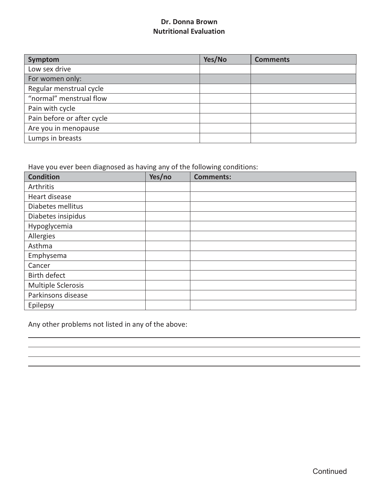| Symptom                    | Yes/No | <b>Comments</b> |
|----------------------------|--------|-----------------|
| Low sex drive              |        |                 |
| For women only:            |        |                 |
| Regular menstrual cycle    |        |                 |
| "normal" menstrual flow    |        |                 |
| Pain with cycle            |        |                 |
| Pain before or after cycle |        |                 |
| Are you in menopause       |        |                 |
| Lumps in breasts           |        |                 |

Have you ever been diagnosed as having any of the following conditions:

| <b>Condition</b>   | Yes/no | <b>Comments:</b> |
|--------------------|--------|------------------|
| Arthritis          |        |                  |
| Heart disease      |        |                  |
| Diabetes mellitus  |        |                  |
| Diabetes insipidus |        |                  |
| Hypoglycemia       |        |                  |
| Allergies          |        |                  |
| Asthma             |        |                  |
| Emphysema          |        |                  |
| Cancer             |        |                  |
| Birth defect       |        |                  |
| Multiple Sclerosis |        |                  |
| Parkinsons disease |        |                  |
| Epilepsy           |        |                  |

Any other problems not listed in any of the above: